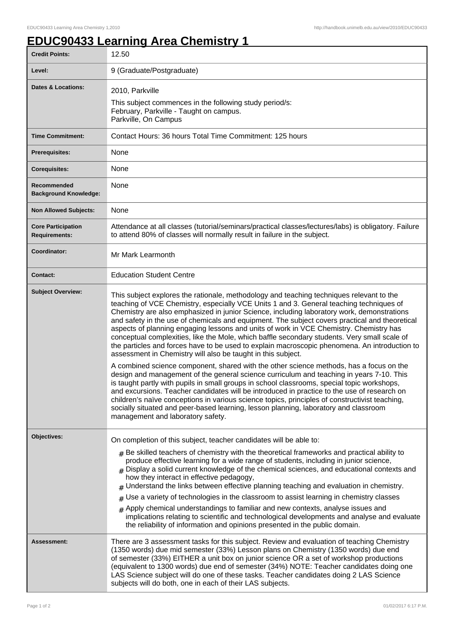## **EDUC90433 Learning Area Chemistry 1**

| <b>Credit Points:</b>                             | 12.50                                                                                                                                                                                                                                                                                                                                                                                                                                                                                                                                                                                                                                                                                                                                                                                                                                                                                                                                                                                                                                                                                                                                                                                                                                                                                                                                                              |
|---------------------------------------------------|--------------------------------------------------------------------------------------------------------------------------------------------------------------------------------------------------------------------------------------------------------------------------------------------------------------------------------------------------------------------------------------------------------------------------------------------------------------------------------------------------------------------------------------------------------------------------------------------------------------------------------------------------------------------------------------------------------------------------------------------------------------------------------------------------------------------------------------------------------------------------------------------------------------------------------------------------------------------------------------------------------------------------------------------------------------------------------------------------------------------------------------------------------------------------------------------------------------------------------------------------------------------------------------------------------------------------------------------------------------------|
| Level:                                            | 9 (Graduate/Postgraduate)                                                                                                                                                                                                                                                                                                                                                                                                                                                                                                                                                                                                                                                                                                                                                                                                                                                                                                                                                                                                                                                                                                                                                                                                                                                                                                                                          |
| <b>Dates &amp; Locations:</b>                     | 2010, Parkville<br>This subject commences in the following study period/s:<br>February, Parkville - Taught on campus.<br>Parkville, On Campus                                                                                                                                                                                                                                                                                                                                                                                                                                                                                                                                                                                                                                                                                                                                                                                                                                                                                                                                                                                                                                                                                                                                                                                                                      |
| <b>Time Commitment:</b>                           | Contact Hours: 36 hours Total Time Commitment: 125 hours                                                                                                                                                                                                                                                                                                                                                                                                                                                                                                                                                                                                                                                                                                                                                                                                                                                                                                                                                                                                                                                                                                                                                                                                                                                                                                           |
| Prerequisites:                                    | None                                                                                                                                                                                                                                                                                                                                                                                                                                                                                                                                                                                                                                                                                                                                                                                                                                                                                                                                                                                                                                                                                                                                                                                                                                                                                                                                                               |
| <b>Corequisites:</b>                              | None                                                                                                                                                                                                                                                                                                                                                                                                                                                                                                                                                                                                                                                                                                                                                                                                                                                                                                                                                                                                                                                                                                                                                                                                                                                                                                                                                               |
| Recommended<br><b>Background Knowledge:</b>       | None                                                                                                                                                                                                                                                                                                                                                                                                                                                                                                                                                                                                                                                                                                                                                                                                                                                                                                                                                                                                                                                                                                                                                                                                                                                                                                                                                               |
| <b>Non Allowed Subjects:</b>                      | None                                                                                                                                                                                                                                                                                                                                                                                                                                                                                                                                                                                                                                                                                                                                                                                                                                                                                                                                                                                                                                                                                                                                                                                                                                                                                                                                                               |
| <b>Core Participation</b><br><b>Requirements:</b> | Attendance at all classes (tutorial/seminars/practical classes/lectures/labs) is obligatory. Failure<br>to attend 80% of classes will normally result in failure in the subject.                                                                                                                                                                                                                                                                                                                                                                                                                                                                                                                                                                                                                                                                                                                                                                                                                                                                                                                                                                                                                                                                                                                                                                                   |
| Coordinator:                                      | Mr Mark Learmonth                                                                                                                                                                                                                                                                                                                                                                                                                                                                                                                                                                                                                                                                                                                                                                                                                                                                                                                                                                                                                                                                                                                                                                                                                                                                                                                                                  |
| <b>Contact:</b>                                   | <b>Education Student Centre</b>                                                                                                                                                                                                                                                                                                                                                                                                                                                                                                                                                                                                                                                                                                                                                                                                                                                                                                                                                                                                                                                                                                                                                                                                                                                                                                                                    |
| <b>Subject Overview:</b>                          | This subject explores the rationale, methodology and teaching techniques relevant to the<br>teaching of VCE Chemistry, especially VCE Units 1 and 3. General teaching techniques of<br>Chemistry are also emphasized in junior Science, including laboratory work, demonstrations<br>and safety in the use of chemicals and equipment. The subject covers practical and theoretical<br>aspects of planning engaging lessons and units of work in VCE Chemistry. Chemistry has<br>conceptual complexities, like the Mole, which baffle secondary students. Very small scale of<br>the particles and forces have to be used to explain macroscopic phenomena. An introduction to<br>assessment in Chemistry will also be taught in this subject.<br>A combined science component, shared with the other science methods, has a focus on the<br>design and management of the general science curriculum and teaching in years 7-10. This<br>is taught partly with pupils in small groups in school classrooms, special topic workshops,<br>and excursions. Teacher candidates will be introduced in practice to the use of research on<br>children's naïve conceptions in various science topics, principles of constructivist teaching,<br>socially situated and peer-based learning, lesson planning, laboratory and classroom<br>management and laboratory safety. |
| Objectives:                                       | On completion of this subject, teacher candidates will be able to:<br>$_{\#}$ Be skilled teachers of chemistry with the theoretical frameworks and practical ability to<br>produce effective learning for a wide range of students, including in junior science,<br>Display a solid current knowledge of the chemical sciences, and educational contexts and<br>how they interact in effective pedagogy,<br>Understand the links between effective planning teaching and evaluation in chemistry.<br>#<br>Use a variety of technologies in the classroom to assist learning in chemistry classes<br>#<br>$_{\#}$ Apply chemical understandings to familiar and new contexts, analyse issues and<br>implications relating to scientific and technological developments and analyse and evaluate<br>the reliability of information and opinions presented in the public domain.                                                                                                                                                                                                                                                                                                                                                                                                                                                                                      |
| <b>Assessment:</b>                                | There are 3 assessment tasks for this subject. Review and evaluation of teaching Chemistry<br>(1350 words) due mid semester (33%) Lesson plans on Chemistry (1350 words) due end<br>of semester (33%) EITHER a unit box on junior science OR a set of workshop productions<br>(equivalent to 1300 words) due end of semester (34%) NOTE: Teacher candidates doing one<br>LAS Science subject will do one of these tasks. Teacher candidates doing 2 LAS Science<br>subjects will do both, one in each of their LAS subjects.                                                                                                                                                                                                                                                                                                                                                                                                                                                                                                                                                                                                                                                                                                                                                                                                                                       |